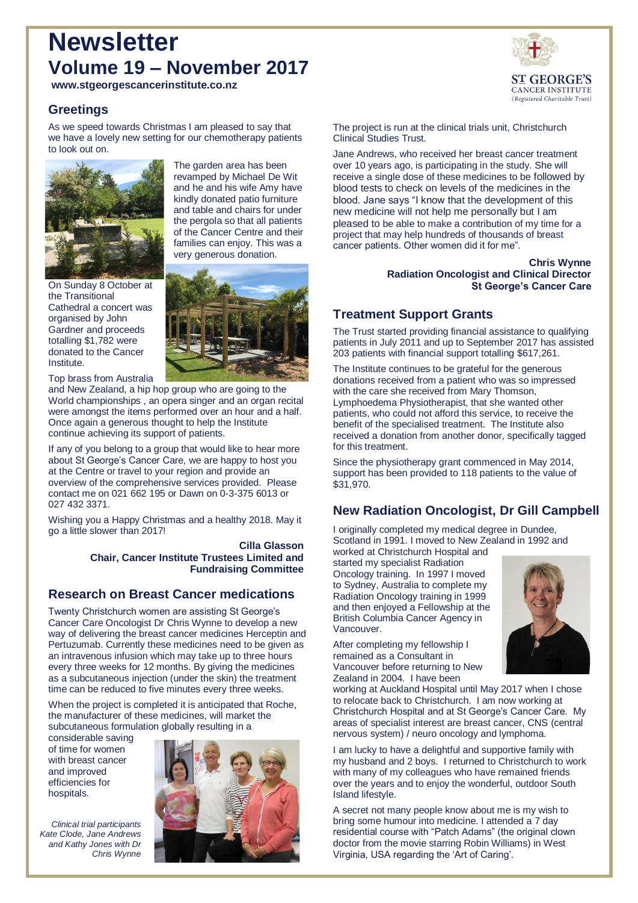# **Newsletter Volume 19 – November 2017**

**www.stgeorgescancerinstitute.co.nz**

## **Greetings**

As we speed towards Christmas I am pleased to say that we have a lovely new setting for our chemotherapy patients to look out on.



The garden area has been revamped by Michael De Wit and he and his wife Amy have kindly donated patio furniture and table and chairs for under the pergola so that all patients of the Cancer Centre and their families can enjoy. This was a very generous donation.

On Sunday 8 October at the Transitional Cathedral a concert was organised by John Gardner and proceeds totalling \$1,782 were donated to the Cancer Institute.



Top brass from Australia

and New Zealand, a hip hop group who are going to the World championships , an opera singer and an organ recital were amongst the items performed over an hour and a half. Once again a generous thought to help the Institute continue achieving its support of patients.

If any of you belong to a group that would like to hear more about St George's Cancer Care, we are happy to host you at the Centre or travel to your region and provide an overview of the comprehensive services provided. Please contact me on 021 662 195 or Dawn on 0-3-375 6013 or 027 432 3371.

Wishing you a Happy Christmas and a healthy 2018. May it go a little slower than 2017!

#### **Cilla Glasson Chair, Cancer Institute Trustees Limited and Fundraising Committee**

# **Research on Breast Cancer medications**

Twenty Christchurch women are assisting St George's Cancer Care Oncologist Dr Chris Wynne to develop a new way of delivering the breast cancer medicines Herceptin and Pertuzumab. Currently these medicines need to be given as an intravenous infusion which may take up to three hours every three weeks for 12 months. By giving the medicines as a subcutaneous injection (under the skin) the treatment time can be reduced to five minutes every three weeks.

When the project is completed it is anticipated that Roche, the manufacturer of these medicines, will market the subcutaneous formulation globally resulting in a

considerable saving of time for women with breast cancer and improved efficiencies for hospitals.

*Clinical trial participants Kate Clode, Jane Andrews and Kathy Jones with Dr* 

*Chris Wynne*





The project is run at the clinical trials unit, Christchurch Clinical Studies Trust.

Jane Andrews, who received her breast cancer treatment over 10 years ago, is participating in the study. She will receive a single dose of these medicines to be followed by blood tests to check on levels of the medicines in the blood. Jane says "I know that the development of this new medicine will not help me personally but I am pleased to be able to make a contribution of my time for a project that may help hundreds of thousands of breast cancer patients. Other women did it for me".

> **Chris Wynne Radiation Oncologist and Clinical Director St George's Cancer Care**

# **Treatment Support Grants**

The Trust started providing financial assistance to qualifying patients in July 2011 and up to September 2017 has assisted 203 patients with financial support totalling \$617,261.

The Institute continues to be grateful for the generous donations received from a patient who was so impressed with the care she received from Mary Thomson, Lymphoedema Physiotherapist, that she wanted other patients, who could not afford this service, to receive the benefit of the specialised treatment. The Institute also received a donation from another donor, specifically tagged for this treatment.

Since the physiotherapy grant commenced in May 2014, support has been provided to 118 patients to the value of \$31,970.

# **New Radiation Oncologist, Dr Gill Campbell**

I originally completed my medical degree in Dundee, Scotland in 1991. I moved to New Zealand in 1992 and worked at Christchurch Hospital and

started my specialist Radiation Oncology training. In 1997 I moved to Sydney, Australia to complete my Radiation Oncology training in 1999 and then enjoyed a Fellowship at the British Columbia Cancer Agency in Vancouver.

After completing my fellowship I remained as a Consultant in Vancouver before returning to New Zealand in 2004. I have been



working at Auckland Hospital until May 2017 when I chose to relocate back to Christchurch. I am now working at Christchurch Hospital and at St George's Cancer Care. My areas of specialist interest are breast cancer, CNS (central nervous system) / neuro oncology and lymphoma.

I am lucky to have a delightful and supportive family with my husband and 2 boys. I returned to Christchurch to work with many of my colleagues who have remained friends over the years and to enjoy the wonderful, outdoor South Island lifestyle.

A secret not many people know about me is my wish to bring some humour into medicine. I attended a 7 day residential course with "Patch Adams" (the original clown doctor from the movie starring Robin Williams) in West Virginia, USA regarding the 'Art of Caring'.